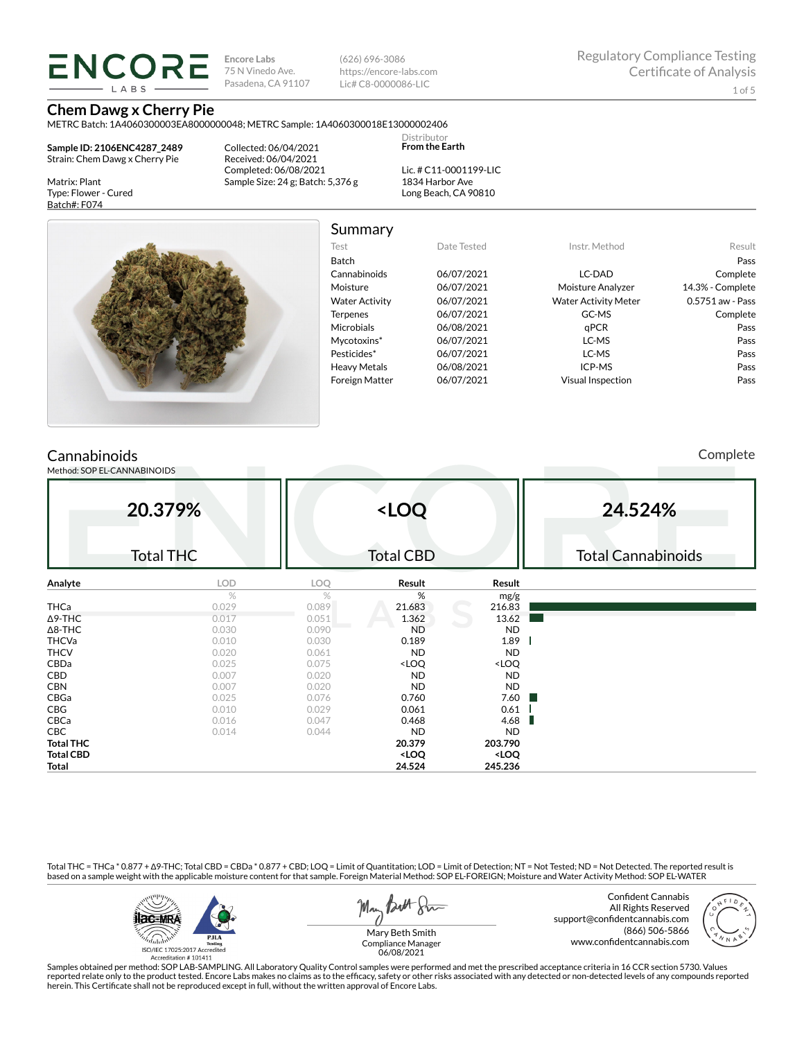**ENCORE LARS** 

**Encore Labs** 75 N Vinedo Ave. Pasadena, CA 91107 (626) 696-3086 https://encore-labs.com Lic# C8-0000086-LIC

**Chem Dawg x Cherry Pie** METRC Batch: 1A4060300003EA8000000048; METRC Sample: 1A4060300018E13000002406

**Sample ID: 2106ENC4287\_2489** Strain: Chem Dawg x Cherry Pie

Matrix: Plant Type: Flower - Cured Batch#: F074

Collected: 06/04/2021 Received: 06/04/2021 Completed: 06/08/2021 Sample Size: 24 g; Batch: 5,376 g

Lic. # C11-0001199-LIC 1834 Harbor Ave Long Beach, CA 90810

Distributor **From the Earth**



Summary

| Test                  | Date Tested | Instr. Method               | Result           |
|-----------------------|-------------|-----------------------------|------------------|
| Batch                 |             |                             | Pass             |
| Cannabinoids          | 06/07/2021  | LC-DAD                      | Complete         |
| Moisture              | 06/07/2021  | Moisture Analyzer           | 14.3% - Complete |
| <b>Water Activity</b> | 06/07/2021  | <b>Water Activity Meter</b> | 0.5751 aw - Pass |
| <b>Terpenes</b>       | 06/07/2021  | GC-MS                       | Complete         |
| <b>Microbials</b>     | 06/08/2021  | aPCR                        | Pass             |
| Mycotoxins*           | 06/07/2021  | LC-MS                       | Pass             |
| Pesticides*           | 06/07/2021  | LC-MS                       | Pass             |
| <b>Heavy Metals</b>   | 06/08/2021  | ICP-MS                      | Pass             |
| <b>Foreign Matter</b> | 06/07/2021  | <b>Visual Inspection</b>    | Pass             |
|                       |             |                             |                  |

# **Cannabinoids**

Method: SOP EL-CANNABINOIDS

Complete

| 20.379%          |                  |       | <loq< th=""><th></th><th colspan="3">24.524%</th></loq<> |                              | 24.524%                   |  |  |
|------------------|------------------|-------|----------------------------------------------------------|------------------------------|---------------------------|--|--|
|                  | <b>Total THC</b> |       | <b>Total CBD</b>                                         |                              | <b>Total Cannabinoids</b> |  |  |
| Analyte          | LOD              | LOQ   | Result                                                   | Result                       |                           |  |  |
|                  | $\%$             | $\%$  | %                                                        | mg/g                         |                           |  |  |
| THCa             | 0.029            | 0.089 | 21.683                                                   | 216.83                       |                           |  |  |
| $\Delta$ 9-THC   | 0.017            | 0.051 | 1.362                                                    | 13.62                        |                           |  |  |
| $\Delta$ 8-THC   | 0.030            | 0.090 | <b>ND</b>                                                | <b>ND</b>                    |                           |  |  |
| <b>THCVa</b>     | 0.010            | 0.030 | 0.189                                                    | 1.89                         |                           |  |  |
| <b>THCV</b>      | 0.020            | 0.061 | <b>ND</b>                                                | ND                           |                           |  |  |
| CBDa             | 0.025            | 0.075 | <loq< td=""><td><loq< td=""><td></td></loq<></td></loq<> | <loq< td=""><td></td></loq<> |                           |  |  |
| CBD              | 0.007            | 0.020 | <b>ND</b>                                                | ND                           |                           |  |  |
| <b>CBN</b>       | 0.007            | 0.020 | <b>ND</b>                                                | ND                           |                           |  |  |
| CBGa             | 0.025            | 0.076 | 0.760                                                    | 7.60<br>a sa                 |                           |  |  |
| CBG              | 0.010            | 0.029 | 0.061                                                    | 0.61                         |                           |  |  |
| CBCa             | 0.016            | 0.047 | 0.468                                                    | 4.68<br>ш                    |                           |  |  |
| CBC              | 0.014            | 0.044 | <b>ND</b>                                                | <b>ND</b>                    |                           |  |  |
| <b>Total THC</b> |                  |       | 20.379                                                   | 203.790                      |                           |  |  |
| <b>Total CBD</b> |                  |       | <loq< td=""><td><loq< td=""><td></td></loq<></td></loq<> | <loq< td=""><td></td></loq<> |                           |  |  |
| <b>Total</b>     |                  |       | 24.524                                                   | 245.236                      |                           |  |  |

Total THC = THCa \* 0.877 + ∆9-THC; Total CBD = CBDa \* 0.877 + CBD; LOQ = Limit of Quantitation; LOD = Limit of Detection; NT = Not Tested; ND = Not Detected. The reported result is based on a sample weight with the applicable moisture content for that sample. Foreign Material Method: SOP EL-FOREIGN; Moisture and Water Activity Method: SOP EL-WATER



May Both Stre

Confident Cannabis All Rights Reserved support@confidentcannabis.com (866) 506-5866 www.confidentcannabis.com



Mary Beth Smith Compliance Manager 06/08/2021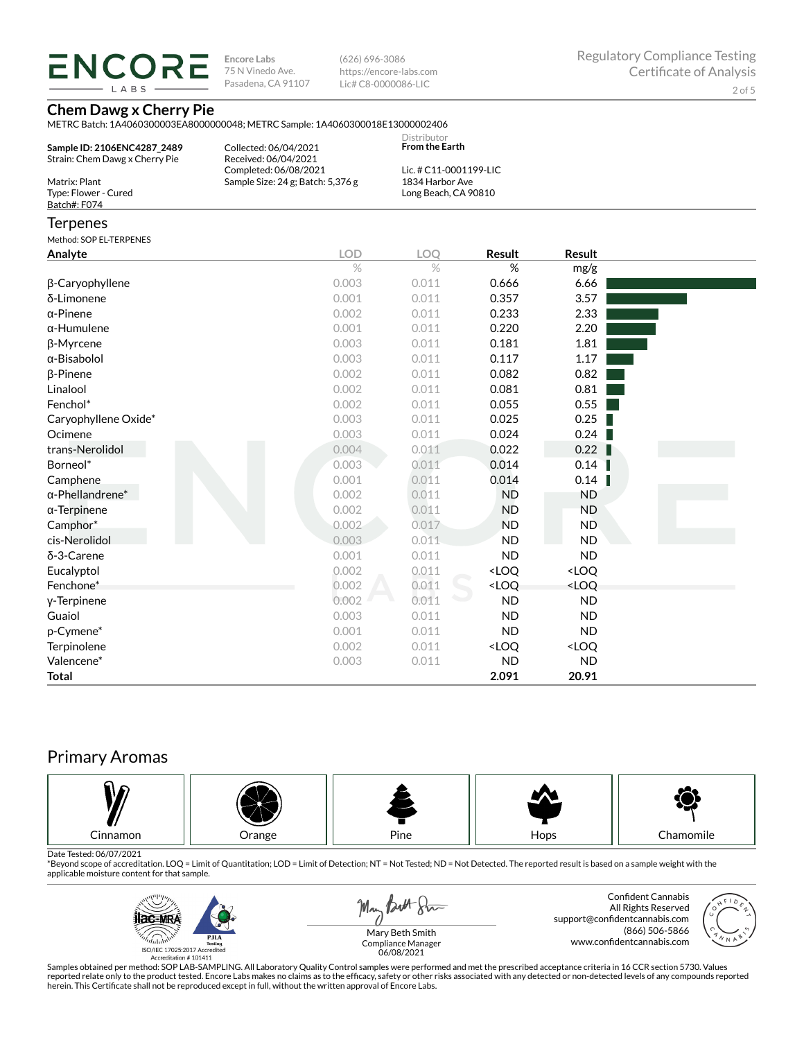LABS

**Encore Labs** 75 N Vinedo Ave. Pasadena, CA 91107

(626) 696-3086 https://encore-labs.com Lic# C8-0000086-LIC

### **Chem Dawg x Cherry Pie**

METRC Batch: 1A4060300003EA8000000048; METRC Sample: 1A4060300018E13000002406

|                                |                                   | <b>Distributor</b>     |  |
|--------------------------------|-----------------------------------|------------------------|--|
| Sample ID: 2106ENC4287 2489    | Collected: 06/04/2021             | <b>From the Earth</b>  |  |
| Strain: Chem Dawg x Cherry Pie | Received: 06/04/2021              |                        |  |
|                                | Completed: 06/08/2021             | Lic. # C11-0001199-LIC |  |
| Matrix: Plant                  | Sample Size: 24 g: Batch: 5.376 g | 1834 Harbor Ave        |  |
| Type: Flower - Cured           |                                   | Long Beach, CA 90810   |  |
| Batch#: F074                   |                                   |                        |  |
|                                |                                   |                        |  |

#### **Terpenes**

Method: COREL TERRENES

| <b>MELHOU, JOF LETERFLINEJ</b> |            |       |                                                          |                              |  |
|--------------------------------|------------|-------|----------------------------------------------------------|------------------------------|--|
| Analyte                        | <b>LOD</b> | LOQ   | <b>Result</b>                                            | Result                       |  |
|                                | $\%$       | $\%$  | %                                                        | mg/g                         |  |
| β-Caryophyllene                | 0.003      | 0.011 | 0.666                                                    | 6.66                         |  |
| δ-Limonene                     | 0.001      | 0.011 | 0.357                                                    | 3.57                         |  |
| $\alpha$ -Pinene               | 0.002      | 0.011 | 0.233                                                    | 2.33                         |  |
| $\alpha$ -Humulene             | 0.001      | 0.011 | 0.220                                                    | 2.20                         |  |
| β-Myrcene                      | 0.003      | 0.011 | 0.181                                                    | 1.81                         |  |
| $\alpha$ -Bisabolol            | 0.003      | 0.011 | 0.117                                                    | 1.17                         |  |
| $\beta$ -Pinene                | 0.002      | 0.011 | 0.082                                                    | 0.82                         |  |
| Linalool                       | 0.002      | 0.011 | 0.081                                                    | 0.81                         |  |
| Fenchol*                       | 0.002      | 0.011 | 0.055                                                    | 0.55                         |  |
| Caryophyllene Oxide*           | 0.003      | 0.011 | 0.025                                                    | 0.25                         |  |
| Ocimene                        | 0.003      | 0.011 | 0.024                                                    | 0.24                         |  |
| trans-Nerolidol                | 0.004      | 0.011 | 0.022                                                    | 0.22                         |  |
| Borneol*                       | 0.003      | 0.011 | 0.014                                                    | 0.14                         |  |
| Camphene                       | 0.001      | 0.011 | 0.014                                                    | 0.14                         |  |
| $\alpha$ -Phellandrene*        | 0.002      | 0.011 | <b>ND</b>                                                | <b>ND</b>                    |  |
| $\alpha$ -Terpinene            | 0.002      | 0.011 | <b>ND</b>                                                | <b>ND</b>                    |  |
| Camphor*                       | 0.002      | 0.017 | <b>ND</b>                                                | ND.                          |  |
| cis-Nerolidol                  | 0.003      | 0.011 | <b>ND</b>                                                | <b>ND</b>                    |  |
| δ-3-Carene                     | 0.001      | 0.011 | <b>ND</b>                                                | <b>ND</b>                    |  |
| Eucalyptol                     | 0.002      | 0.011 | <loq< td=""><td><loq< td=""><td></td></loq<></td></loq<> | <loq< td=""><td></td></loq<> |  |
| Fenchone*                      | 0.002      | 0.011 | <loq< td=""><td><loq< td=""><td></td></loq<></td></loq<> | <loq< td=""><td></td></loq<> |  |
| y-Terpinene                    | 0.002      | 0.011 | <b>ND</b>                                                | <b>ND</b>                    |  |
| Guaiol                         | 0.003      | 0.011 | <b>ND</b>                                                | <b>ND</b>                    |  |
| p-Cymene*                      | 0.001      | 0.011 | <b>ND</b>                                                | <b>ND</b>                    |  |
| Terpinolene                    | 0.002      | 0.011 | <loq< td=""><td><loq< td=""><td></td></loq<></td></loq<> | <loq< td=""><td></td></loq<> |  |
| Valencene*                     | 0.003      | 0.011 | <b>ND</b>                                                | <b>ND</b>                    |  |
| <b>Total</b>                   |            |       | 2.091                                                    | 20.91                        |  |

# Primary Aromas



Date Tested: 06/07/2021<br>\*Beyond scope of accreditation. LOQ = Limit of Quantitation; LOD = Limit of Detection; NT = Not Tested; ND = Not Detected. The reported result is based on a sample weight with the applicable moisture content for that sample.



May Both Sur

Confident Cannabis All Rights Reserved support@confidentcannabis.com (866) 506-5866 www.confidentcannabis.com



Mary Beth Smith Compliance Manager 06/08/2021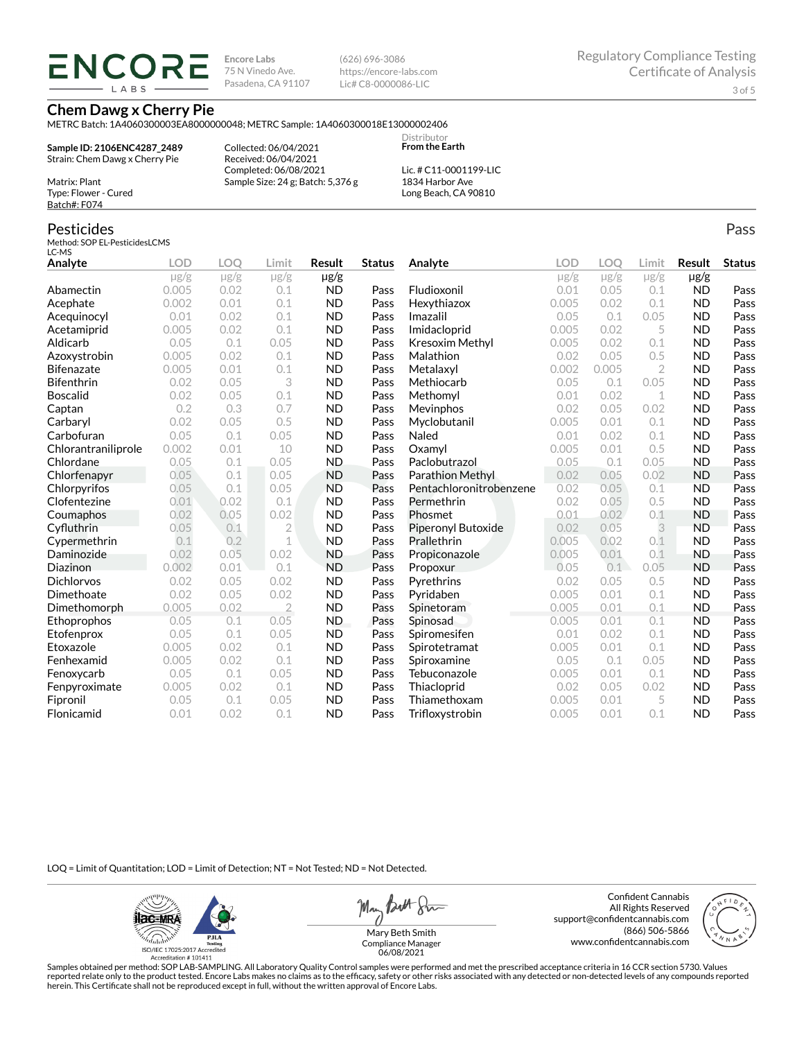**ENCORE** LABS

**Encore Labs** 75 N Vinedo Ave. Pasadena, CA 91107 (626) 696-3086 https://encore-labs.com Lic# C8-0000086-LIC

#### **Chem Dawg x Cherry Pie**

METRC Batch: 1A4060300003EA8000000048; METRC Sample: 1A4060300018E13000002406

**Sample ID: 2106ENC4287\_2489** Strain: Chem Dawg x Cherry Pie

Collected: 06/04/2021 Received: 06/04/2021 Completed: 06/08/2021 Sample Size: 24 g; Batch: 5,376 g

Lic. # C11-0001199-LIC 1834 Harbor Ave Long Beach, CA 90810

Distributor **From the Earth**

# Batch#: F074 Pesticides

Matrix: Plant Type: Flower - Cured

Method: SOP EL-PesticidesLCMS LC-MS

| Analyte             | <b>LOD</b> | <b>LOO</b> | Limit          | <b>Result</b> | <b>Status</b> | Analyte                 | LOD       | LOO       | Limit          | Result    | <b>Status</b> |
|---------------------|------------|------------|----------------|---------------|---------------|-------------------------|-----------|-----------|----------------|-----------|---------------|
|                     | $\mu$ g/g  | $\mu$ g/g  | $\mu$ g/g      | µg/g          |               |                         | $\mu$ g/g | $\mu$ g/g | $\mu$ g/g      | $\mu$ g/g |               |
| Abamectin           | 0.005      | 0.02       | 0.1            | <b>ND</b>     | Pass          | Fludioxonil             | 0.01      | 0.05      | 0.1            | <b>ND</b> | Pass          |
| Acephate            | 0.002      | 0.01       | 0.1            | <b>ND</b>     | Pass          | Hexythiazox             | 0.005     | 0.02      | 0.1            | <b>ND</b> | Pass          |
| Acequinocyl         | 0.01       | 0.02       | 0.1            | <b>ND</b>     | Pass          | Imazalil                | 0.05      | 0.1       | 0.05           | <b>ND</b> | Pass          |
| Acetamiprid         | 0.005      | 0.02       | 0.1            | <b>ND</b>     | Pass          | Imidacloprid            | 0.005     | 0.02      | 5              | <b>ND</b> | Pass          |
| Aldicarb            | 0.05       | 0.1        | 0.05           | <b>ND</b>     | Pass          | Kresoxim Methyl         | 0.005     | 0.02      | 0.1            | <b>ND</b> | Pass          |
| Azoxystrobin        | 0.005      | 0.02       | 0.1            | <b>ND</b>     | Pass          | Malathion               | 0.02      | 0.05      | 0.5            | <b>ND</b> | Pass          |
| <b>Bifenazate</b>   | 0.005      | 0.01       | 0.1            | <b>ND</b>     | Pass          | Metalaxyl               | 0.002     | 0.005     | $\overline{2}$ | <b>ND</b> | Pass          |
| <b>Bifenthrin</b>   | 0.02       | 0.05       | 3              | <b>ND</b>     | Pass          | Methiocarb              | 0.05      | 0.1       | 0.05           | <b>ND</b> | Pass          |
| <b>Boscalid</b>     | 0.02       | 0.05       | 0.1            | <b>ND</b>     | Pass          | Methomyl                | 0.01      | 0.02      | 1              | <b>ND</b> | Pass          |
| Captan              | 0.2        | 0.3        | 0.7            | <b>ND</b>     | Pass          | Mevinphos               | 0.02      | 0.05      | 0.02           | <b>ND</b> | Pass          |
| Carbaryl            | 0.02       | 0.05       | 0.5            | <b>ND</b>     | Pass          | Myclobutanil            | 0.005     | 0.01      | 0.1            | <b>ND</b> | Pass          |
| Carbofuran          | 0.05       | 0.1        | 0.05           | <b>ND</b>     | Pass          | Naled                   | 0.01      | 0.02      | 0.1            | <b>ND</b> | Pass          |
| Chlorantraniliprole | 0.002      | 0.01       | 10             | <b>ND</b>     | Pass          | Oxamvl                  | 0.005     | 0.01      | 0.5            | <b>ND</b> | Pass          |
| Chlordane           | 0.05       | 0.1        | 0.05           | <b>ND</b>     | Pass          | Paclobutrazol           | 0.05      | 0.1       | 0.05           | <b>ND</b> | Pass          |
| Chlorfenapyr        | 0.05       | 0.1        | 0.05           | <b>ND</b>     | Pass          | <b>Parathion Methyl</b> | 0.02      | 0.05      | 0.02           | <b>ND</b> | Pass          |
| Chlorpyrifos        | 0.05       | 0.1        | 0.05           | <b>ND</b>     | Pass          | Pentachloronitrobenzene | 0.02      | 0.05      | 0.1            | <b>ND</b> | Pass          |
| Clofentezine        | 0.01       | 0.02       | 0.1            | <b>ND</b>     | Pass          | Permethrin              | 0.02      | 0.05      | 0.5            | <b>ND</b> | Pass          |
| Coumaphos           | 0.02       | 0.05       | 0.02           | <b>ND</b>     | Pass          | Phosmet                 | 0.01      | 0.02      | 0.1            | <b>ND</b> | Pass          |
| Cyfluthrin          | 0.05       | 0.1        | $\overline{2}$ | <b>ND</b>     | Pass          | Piperonyl Butoxide      | 0.02      | 0.05      | 3              | <b>ND</b> | Pass          |
| Cypermethrin        | 0.1        | 0.2        | $\mathbf 1$    | <b>ND</b>     | Pass          | Prallethrin             | 0.005     | 0.02      | 0.1            | <b>ND</b> | Pass          |
| Daminozide          | 0.02       | 0.05       | 0.02           | <b>ND</b>     | Pass          | Propiconazole           | 0.005     | 0.01      | 0.1            | <b>ND</b> | Pass          |
| Diazinon            | 0.002      | 0.01       | 0.1            | <b>ND</b>     | Pass          | Propoxur                | 0.05      | 0.1       | 0.05           | <b>ND</b> | Pass          |
| <b>Dichlorvos</b>   | 0.02       | 0.05       | 0.02           | <b>ND</b>     | Pass          | Pyrethrins              | 0.02      | 0.05      | 0.5            | <b>ND</b> | Pass          |
| Dimethoate          | 0.02       | 0.05       | 0.02           | <b>ND</b>     | Pass          | Pyridaben               | 0.005     | 0.01      | 0.1            | <b>ND</b> | Pass          |
| Dimethomorph        | 0.005      | 0.02       | $\overline{2}$ | <b>ND</b>     | Pass          | Spinetoram              | 0.005     | 0.01      | 0.1            | <b>ND</b> | Pass          |
| Ethoprophos         | 0.05       | 0.1        | 0.05           | ND.           | Pass          | Spinosad                | 0.005     | 0.01      | 0.1            | <b>ND</b> | Pass          |
| Etofenprox          | 0.05       | 0.1        | 0.05           | <b>ND</b>     | Pass          | Spiromesifen            | 0.01      | 0.02      | 0.1            | <b>ND</b> | Pass          |
| Etoxazole           | 0.005      | 0.02       | 0.1            | <b>ND</b>     | Pass          | Spirotetramat           | 0.005     | 0.01      | 0.1            | <b>ND</b> | Pass          |
| Fenhexamid          | 0.005      | 0.02       | 0.1            | <b>ND</b>     | Pass          | Spiroxamine             | 0.05      | 0.1       | 0.05           | <b>ND</b> | Pass          |
| Fenoxycarb          | 0.05       | 0.1        | 0.05           | <b>ND</b>     | Pass          | Tebuconazole            | 0.005     | 0.01      | 0.1            | <b>ND</b> | Pass          |
| Fenpyroximate       | 0.005      | 0.02       | 0.1            | <b>ND</b>     | Pass          | Thiacloprid             | 0.02      | 0.05      | 0.02           | <b>ND</b> | Pass          |
| Fipronil            | 0.05       | 0.1        | 0.05           | <b>ND</b>     | Pass          | Thiamethoxam            | 0.005     | 0.01      | 5              | <b>ND</b> | Pass          |
| Flonicamid          | 0.01       | 0.02       | 0.1            | <b>ND</b>     | Pass          | Trifloxystrobin         | 0.005     | 0.01      | 0.1            | <b>ND</b> | Pass          |

LOQ = Limit of Quantitation; LOD = Limit of Detection; NT = Not Tested; ND = Not Detected.

**ilac-MRA PJLA**  $d_{\rm thbb}$ ISO/IEC 17025:2017 Ac Accreditation #101411

May Both Sun

Confident Cannabis All Rights Reserved support@confidentcannabis.com (866) 506-5866 www.confidentcannabis.com



Mary Beth Smith Compliance Manager 06/08/2021

Samples obtained per method: SOP LAB-SAMPLING. All Laboratory Quality Control samples were performed and met the prescribed acceptance criteria in 16 CCR section 5730. Values reported relate only to the product tested. Encore Labs makes no claims as to the efficacy, safety or other risks associated with any detected or non-detected levels of any compounds reported<br>herein. This Certificate shall

Pass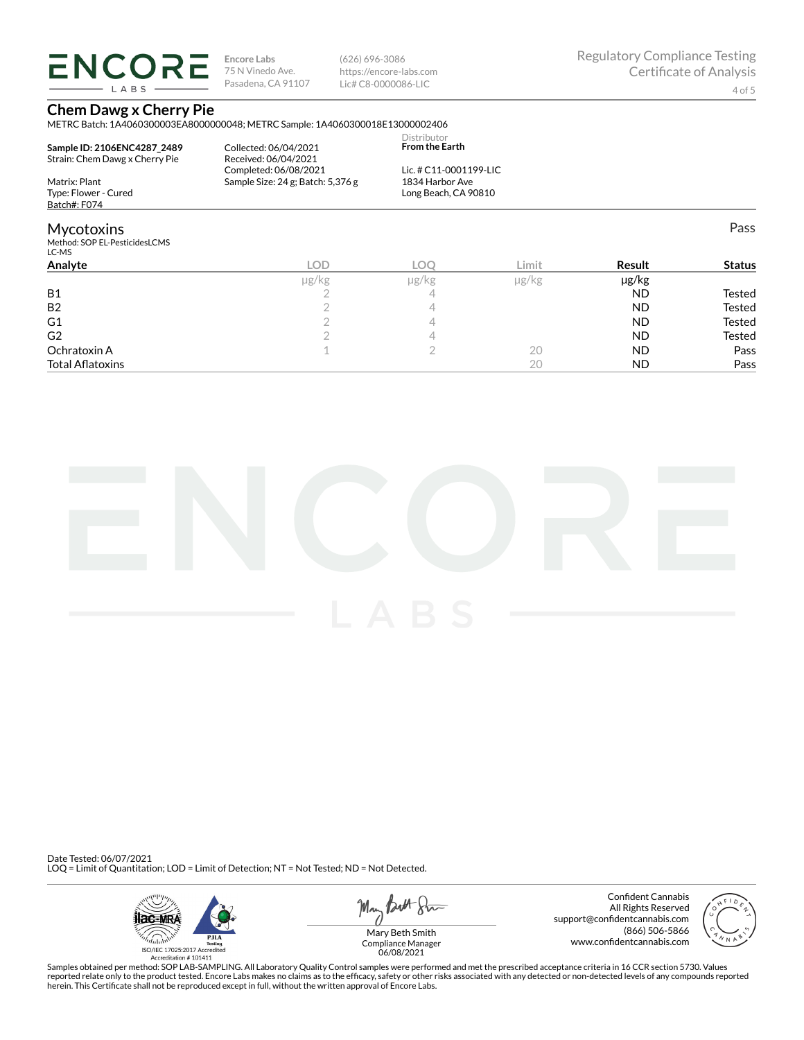**ENCORE** LABS

**Encore Labs** 75 N Vinedo Ave. Pasadena, CA 91107 (626) 696-3086 https://encore-labs.com Lic# C8-0000086-LIC

Pass

### **Chem Dawg x Cherry Pie**

METRC Batch: 1A4060300003EA8000000048; METRC Sample: 1A4060300018E13000002406 Distributor

| Sample ID: 2106ENC4287 2489<br>Strain: Chem Dawg x Cherry Pie | Collected: 06/04/2021<br>Received: 06/04/2021 | <b>From the Earth</b>  |
|---------------------------------------------------------------|-----------------------------------------------|------------------------|
|                                                               | Completed: 06/08/2021                         | Lic. # C11-0001199-LIC |
| Matrix: Plant                                                 | Sample Size: $24$ g; Batch: $5,376$ g         | 1834 Harbor Ave        |
| Type: Flower - Cured                                          |                                               | Long Beach, CA 90810   |
| Batch#: F074                                                  |                                               |                        |

### Mycotoxins

Method: SOP EL-PesticidesLCMS

| LC-MS                   |       |       |       |           |               |
|-------------------------|-------|-------|-------|-----------|---------------|
| Analyte                 | LOD   | LOC   | Limit | Result    | <b>Status</b> |
|                         | µg/kg | µg/kg | µg/kg | µg/kg     |               |
| <b>B1</b>               |       |       |       | <b>ND</b> | Tested        |
| <b>B2</b>               |       |       |       | <b>ND</b> | Tested        |
| G1                      |       |       |       | <b>ND</b> | <b>Tested</b> |
| G <sub>2</sub>          |       |       |       | <b>ND</b> | Tested        |
| Ochratoxin A            |       |       | 20    | <b>ND</b> | Pass          |
| <b>Total Aflatoxins</b> |       |       | 20    | <b>ND</b> | Pass          |
|                         |       |       |       |           |               |



Date Tested: 06/07/2021 LOQ = Limit of Quantitation; LOD = Limit of Detection; NT = Not Tested; ND = Not Detected.





Confident Cannabis All Rights Reserved support@confidentcannabis.com (866) 506-5866 www.confidentcannabis.com



Mary Beth Smith Compliance Manager 06/08/2021